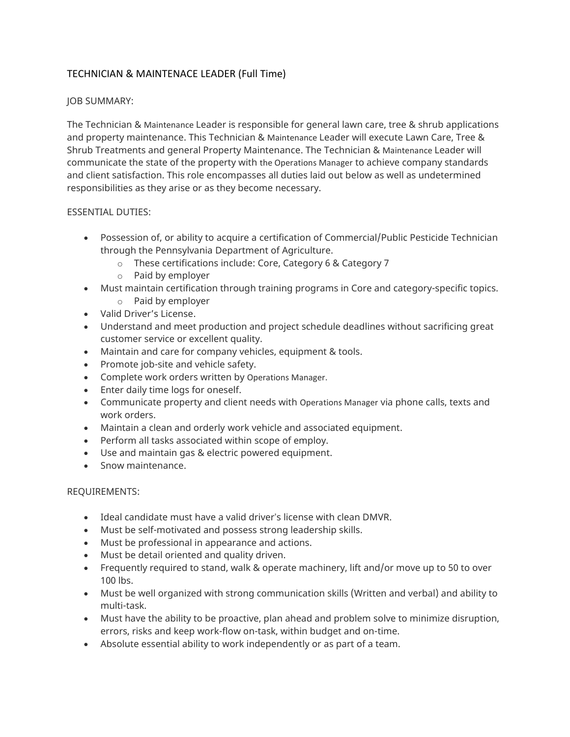# TECHNICIAN & MAINTENACE LEADER (Full Time)

# JOB SUMMARY:

The Technician & Maintenance Leader is responsible for general lawn care, tree & shrub applications and property maintenance. This Technician & Maintenance Leader will execute Lawn Care, Tree & Shrub Treatments and general Property Maintenance. The Technician & Maintenance Leader will communicate the state of the property with the Operations Manager to achieve company standards and client satisfaction. This role encompasses all duties laid out below as well as undetermined responsibilities as they arise or as they become necessary.

### ESSENTIAL DUTIES:

- Possession of, or ability to acquire a certification of Commercial/Public Pesticide Technician through the Pennsylvania Department of Agriculture.
	- o These certifications include: Core, Category 6 & Category 7
	- o Paid by employer
- Must maintain certification through training programs in Core and category-specific topics.
	- o Paid by employer
- Valid Driver's License.
- Understand and meet production and project schedule deadlines without sacrificing great customer service or excellent quality.
- Maintain and care for company vehicles, equipment & tools.
- Promote job-site and vehicle safety.
- Complete work orders written by Operations Manager.
- Enter daily time logs for oneself.
- Communicate property and client needs with Operations Manager via phone calls, texts and work orders.
- Maintain a clean and orderly work vehicle and associated equipment.
- Perform all tasks associated within scope of employ.
- Use and maintain gas & electric powered equipment.
- Snow maintenance.

### REQUIREMENTS:

- Ideal candidate must have a valid driver's license with clean DMVR.
- Must be self-motivated and possess strong leadership skills.
- Must be professional in appearance and actions.
- Must be detail oriented and quality driven.
- Frequently required to stand, walk & operate machinery, lift and/or move up to 50 to over 100 lbs.
- Must be well organized with strong communication skills (Written and verbal) and ability to multi-task.
- Must have the ability to be proactive, plan ahead and problem solve to minimize disruption, errors, risks and keep work-flow on-task, within budget and on-time.
- Absolute essential ability to work independently or as part of a team.